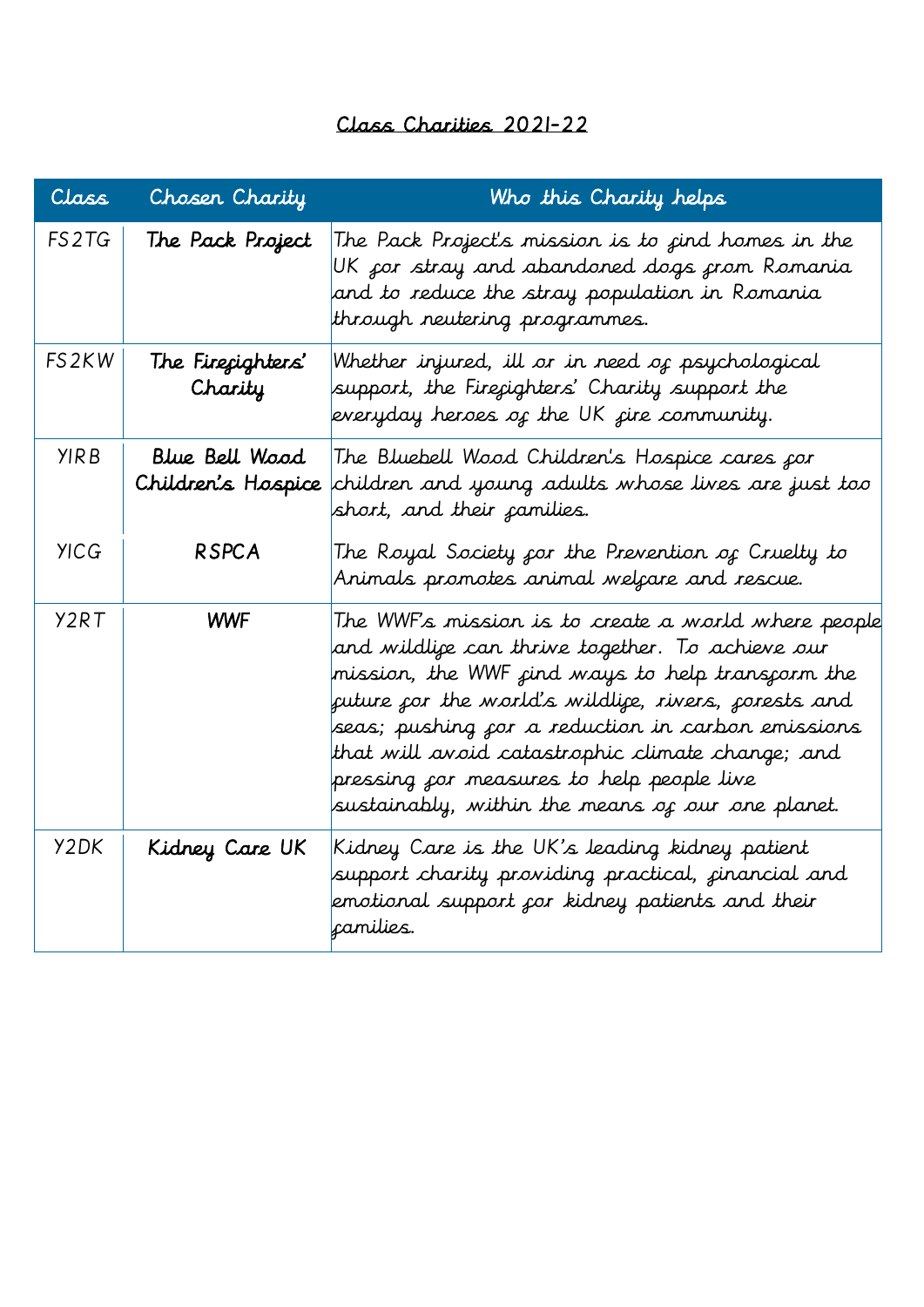## Class Charities 2021-22

| Class       | Chosen Charity               | Who this Charity helps                                                                                                                                                                                                                                                                                                                                                                                                                                     |
|-------------|------------------------------|------------------------------------------------------------------------------------------------------------------------------------------------------------------------------------------------------------------------------------------------------------------------------------------------------------------------------------------------------------------------------------------------------------------------------------------------------------|
| FS2TG       | The Pack Project             | The Pack Project's mission is to <sub>f</sub> ind homes in the<br>UK por stray and abandoned dogs prom Romania<br>and to reduce the stray population in Romania<br>through neutering programmes.                                                                                                                                                                                                                                                           |
| FS2KW       | The Firecighters'<br>Charity | Whether injured, ill or in need of psychological<br>support, the Fireçighters' Charity support the<br>everyday heroes of the UK fire community.                                                                                                                                                                                                                                                                                                            |
| <b>YIRB</b> | Blue Bell Wood               | The Bluebell Wood Children's Hospice cares for<br>Children's Hospice children and young adults whose lives are just too<br>short, and their camilies.                                                                                                                                                                                                                                                                                                      |
| <b>YICG</b> | <b>RSPCA</b>                 | The Royal Society <sub>f</sub> or the Prevention of Cruelty to<br>Animals promotes animal welçare and rescue.                                                                                                                                                                                                                                                                                                                                              |
| Y2RT        | <b>WWF</b>                   | The WWF's mission is to create a world where people<br>and wildlije can thrive together. To achieve our<br>mission, the WWF <sub>f</sub> ind ways to help trans <i>ç</i> orm the<br>future for the world's wildlife, rivers, forests and<br>seas; pushing çor a reduction in carbon emissions<br>that will avoid catastrophic climate change; and<br>pressing <i>for m</i> easures to help people live<br>sustainably, within the means of our one planet. |
| Y2DK        | Kidney Care UK               | Kidney Care is the UK's leading kidney patient<br>support charity providing practical, <sub>f</sub> inancial and<br>emotional support <sub>f</sub> or kidney patients and their<br>camilies.                                                                                                                                                                                                                                                               |